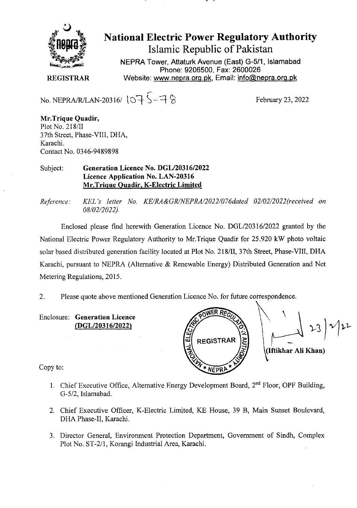

National Electric Power Regulatory Authority Islamic Republic of Pakistan

**NEPRA Tower, Attaturk Avenue (East) G-511, Islamabad Phone: 9206500, Fax: 2600026 REGISTRAR** Website: www.nepra.org.pk, Email: info@nepra.org.pk

No. NEPRA/R/LAN-20316/ $\sqrt{5}$ -7 $\%$ 

February 23, 2022

**Mr.Trique Quadir,**  Plot No. 218/TI 37th Street, Phase-VIII, DHA, Karachi. Contact No. 0346-9489898

Subject: **Generation Licence No. DGL/203 16/2022 Licence Application No. LAN-20316 Mr.Trique Quadir, K-Electric Limited** 

*Reference: KEL 's letter No. KE/RA&GRINEPRA/2022/076dated 02/02/2022(received on 08/02/2 022).* 

Enclosed please find herewith Generation Licence No. DGL/20316/2022 granted by the National Electric Power Regulatory Authority to Mr.Trique Quadir for 25.920 kW photo voltaic solar based distributed generation facility located at Plot No. 218/Il, 37th Street, Phase-Vill, DHA Karachi, pursuant to NEPRA (Alternative & Renewable Energy) Distributed Generation and Net Metering Regulations, 2015.

2. Please quote above mentioned Generation Licence No. for future correspondence.

Enclosure: **Generation Licence (DGL/20316/2022)** 



Copy to:

- 1. Chief Executive Office, Alternative Energy Development Board, 2<sup>nd</sup> Floor, OPF Building, G-5/2, Islamabad.
- 2. Chief Executive Officer, K-Electric Limited, KE House, 39 B, Main Sunset Boulevard, DHA Phase-Il, Karachi.
- 3. Director General, Environment Protection Department, Government of Sindh, Complex Plot No. ST-2/1, Korangi Industrial Area, Karachi.